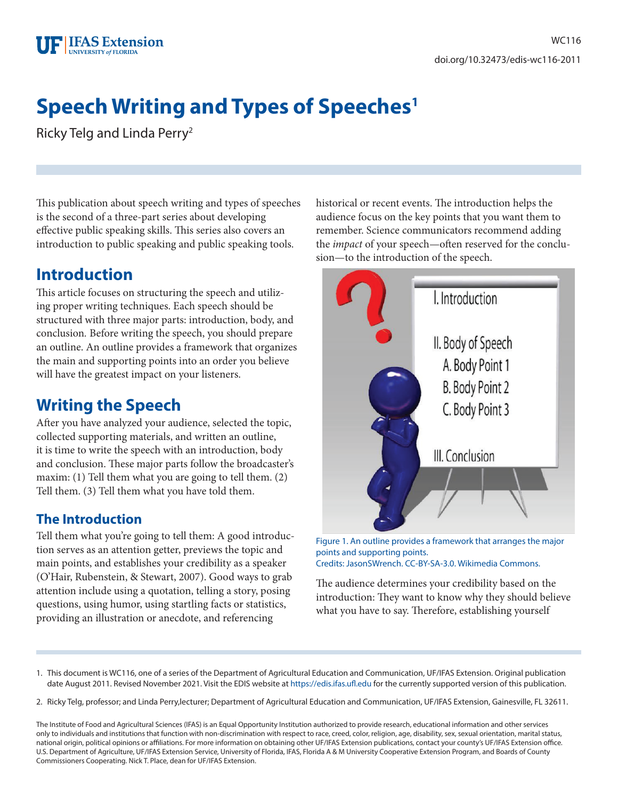# **Speech Writing and Types of Speeches1**

Ricky Telg and Linda Perry2

This publication about speech writing and types of speeches is the second of a three-part series about developing effective public speaking skills. This series also covers an introduction to public speaking and public speaking tools.

### **Introduction**

This article focuses on structuring the speech and utilizing proper writing techniques. Each speech should be structured with three major parts: introduction, body, and conclusion*.* Before writing the speech, you should prepare an outline. An outline provides a framework that organizes the main and supporting points into an order you believe will have the greatest impact on your listeners.

# **Writing the Speech**

After you have analyzed your audience, selected the topic, collected supporting materials, and written an outline, it is time to write the speech with an introduction, body and conclusion. These major parts follow the broadcaster's maxim: (1) Tell them what you are going to tell them. (2) Tell them. (3) Tell them what you have told them.

#### **The Introduction**

Tell them what you're going to tell them: A good introduction serves as an attention getter, previews the topic and main points, and establishes your credibility as a speaker (O'Hair, Rubenstein, & Stewart, 2007). Good ways to grab attention include using a quotation, telling a story, posing questions, using humor, using startling facts or statistics, providing an illustration or anecdote, and referencing

historical or recent events. The introduction helps the audience focus on the key points that you want them to remember. Science communicators recommend adding the *impact* of your speech—often reserved for the conclusion—to the introduction of the speech.



Figure 1. An outline provides a framework that arranges the major points and supporting points. Credits: JasonSWrench. CC-BY-SA-3.0. Wikimedia Commons.

The audience determines your credibility based on the introduction: They want to know why they should believe what you have to say. Therefore, establishing yourself

- 1. This document is WC116, one of a series of the Department of Agricultural Education and Communication, UF/IFAS Extension. Original publication date August 2011. Revised November 2021. Visit the EDIS website at <https://edis.ifas.ufl.edu> for the currently supported version of this publication.
- 2. Ricky Telg, professor; and Linda Perry,lecturer; Department of Agricultural Education and Communication, UF/IFAS Extension, Gainesville, FL 32611.

The Institute of Food and Agricultural Sciences (IFAS) is an Equal Opportunity Institution authorized to provide research, educational information and other services only to individuals and institutions that function with non-discrimination with respect to race, creed, color, religion, age, disability, sex, sexual orientation, marital status, national origin, political opinions or affiliations. For more information on obtaining other UF/IFAS Extension publications, contact your county's UF/IFAS Extension office. U.S. Department of Agriculture, UF/IFAS Extension Service, University of Florida, IFAS, Florida A & M University Cooperative Extension Program, and Boards of County Commissioners Cooperating. Nick T. Place, dean for UF/IFAS Extension.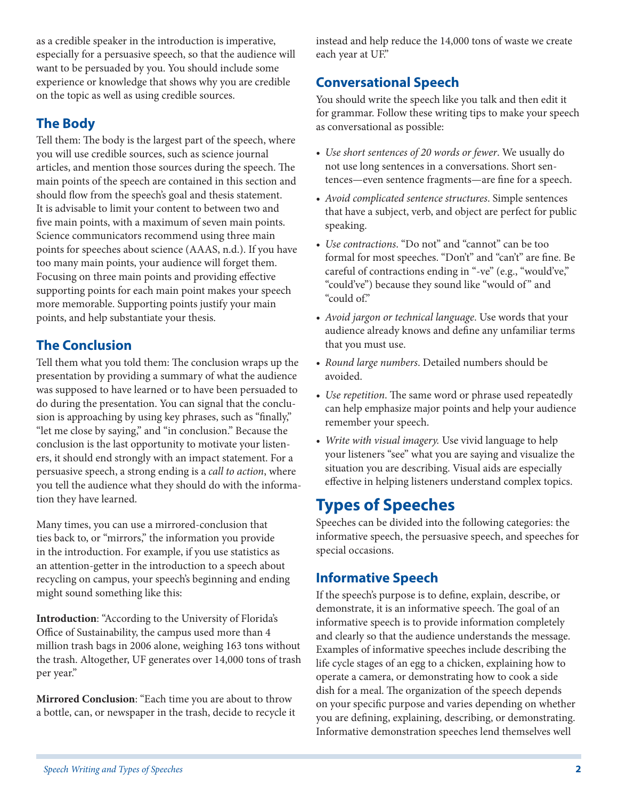as a credible speaker in the introduction is imperative, especially for a persuasive speech, so that the audience will want to be persuaded by you. You should include some experience or knowledge that shows why you are credible on the topic as well as using credible sources.

#### **The Body**

Tell them: The body is the largest part of the speech, where you will use credible sources, such as science journal articles, and mention those sources during the speech. The main points of the speech are contained in this section and should flow from the speech's goal and thesis statement. It is advisable to limit your content to between two and five main points, with a maximum of seven main points. Science communicators recommend using three main points for speeches about science (AAAS, n.d.). If you have too many main points, your audience will forget them. Focusing on three main points and providing effective supporting points for each main point makes your speech more memorable. Supporting points justify your main points, and help substantiate your thesis.

#### **The Conclusion**

Tell them what you told them: The conclusion wraps up the presentation by providing a summary of what the audience was supposed to have learned or to have been persuaded to do during the presentation. You can signal that the conclusion is approaching by using key phrases, such as "finally," "let me close by saying," and "in conclusion." Because the conclusion is the last opportunity to motivate your listeners, it should end strongly with an impact statement. For a persuasive speech, a strong ending is a *call to action*, where you tell the audience what they should do with the information they have learned.

Many times, you can use a mirrored-conclusion that ties back to, or "mirrors," the information you provide in the introduction. For example, if you use statistics as an attention-getter in the introduction to a speech about recycling on campus, your speech's beginning and ending might sound something like this:

**Introduction**: "According to the University of Florida's Office of Sustainability, the campus used more than 4 million trash bags in 2006 alone, weighing 163 tons without the trash. Altogether, UF generates over 14,000 tons of trash per year."

**Mirrored Conclusion**: "Each time you are about to throw a bottle, can, or newspaper in the trash, decide to recycle it instead and help reduce the 14,000 tons of waste we create each year at UF."

#### **Conversational Speech**

You should write the speech like you talk and then edit it for grammar. Follow these writing tips to make your speech as conversational as possible:

- *Use short sentences of 20 words or fewer*. We usually do not use long sentences in a conversations. Short sentences—even sentence fragments—are fine for a speech.
- *Avoid complicated sentence structures*. Simple sentences that have a subject, verb, and object are perfect for public speaking.
- *Use contractions*. "Do not" and "cannot" can be too formal for most speeches. "Don't" and "can't" are fine. Be careful of contractions ending in "-ve" (e.g., "would've," "could've") because they sound like "would of" and "could of."
- *Avoid jargon or technical language*. Use words that your audience already knows and define any unfamiliar terms that you must use.
- *Round large numbers*. Detailed numbers should be avoided.
- *Use repetition*. The same word or phrase used repeatedly can help emphasize major points and help your audience remember your speech.
- *Write with visual imagery.* Use vivid language to help your listeners "see" what you are saying and visualize the situation you are describing. Visual aids are especially effective in helping listeners understand complex topics.

### **Types of Speeches**

Speeches can be divided into the following categories: the informative speech, the persuasive speech, and speeches for special occasions.

#### **Informative Speech**

If the speech's purpose is to define, explain, describe, or demonstrate, it is an informative speech. The goal of an informative speech is to provide information completely and clearly so that the audience understands the message. Examples of informative speeches include describing the life cycle stages of an egg to a chicken, explaining how to operate a camera, or demonstrating how to cook a side dish for a meal. The organization of the speech depends on your specific purpose and varies depending on whether you are defining, explaining, describing, or demonstrating. Informative demonstration speeches lend themselves well